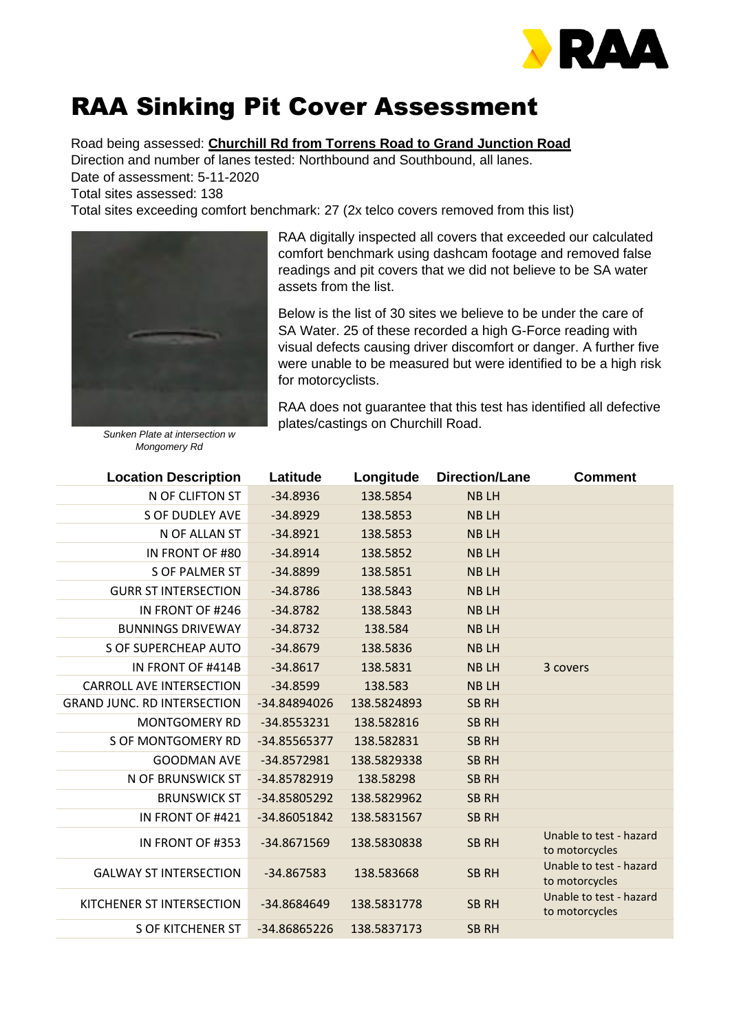

## RAA Sinking Pit Cover Assessment

Road being assessed: **Churchill Rd from Torrens Road to Grand Junction Road**

Direction and number of lanes tested: Northbound and Southbound, all lanes. Date of assessment: 5-11-2020

Total sites assessed: 138

Total sites exceeding comfort benchmark: 27 (2x telco covers removed from this list)



RAA digitally inspected all covers that exceeded our calculated comfort benchmark using dashcam footage and removed false readings and pit covers that we did not believe to be SA water assets from the list.

Below is the list of 30 sites we believe to be under the care of SA Water. 25 of these recorded a high G-Force reading with visual defects causing driver discomfort or danger. A further five were unable to be measured but were identified to be a high risk for motorcyclists.

RAA does not guarantee that this test has identified all defective plates/castings on Churchill Road.

*Sunken Plate at intersection w Mongomery Rd*

| <b>Location Description</b>        | Latitude      | Longitude   | <b>Direction/Lane</b> | <b>Comment</b>                            |
|------------------------------------|---------------|-------------|-----------------------|-------------------------------------------|
| N OF CLIFTON ST                    | $-34.8936$    | 138.5854    | <b>NBLH</b>           |                                           |
| <b>S OF DUDLEY AVE</b>             | $-34.8929$    | 138.5853    | <b>NBLH</b>           |                                           |
| N OF ALLAN ST                      | $-34.8921$    | 138.5853    | <b>NBLH</b>           |                                           |
| IN FRONT OF #80                    | $-34.8914$    | 138.5852    | <b>NBLH</b>           |                                           |
| <b>S OF PALMER ST</b>              | $-34.8899$    | 138.5851    | <b>NBLH</b>           |                                           |
| <b>GURR ST INTERSECTION</b>        | $-34.8786$    | 138.5843    | <b>NBLH</b>           |                                           |
| IN FRONT OF #246                   | $-34.8782$    | 138.5843    | <b>NBLH</b>           |                                           |
| <b>BUNNINGS DRIVEWAY</b>           | $-34.8732$    | 138.584     | <b>NBLH</b>           |                                           |
| <b>S OF SUPERCHEAP AUTO</b>        | $-34.8679$    | 138.5836    | <b>NBLH</b>           |                                           |
| IN FRONT OF #414B                  | $-34.8617$    | 138.5831    | <b>NBLH</b>           | 3 covers                                  |
| <b>CARROLL AVE INTERSECTION</b>    | $-34.8599$    | 138.583     | <b>NBLH</b>           |                                           |
| <b>GRAND JUNC. RD INTERSECTION</b> | -34.84894026  | 138.5824893 | <b>SB RH</b>          |                                           |
| <b>MONTGOMERY RD</b>               | $-34.8553231$ | 138.582816  | <b>SB RH</b>          |                                           |
| S OF MONTGOMERY RD                 | -34.85565377  | 138.582831  | <b>SB RH</b>          |                                           |
| <b>GOODMAN AVE</b>                 | -34.8572981   | 138.5829338 | <b>SB RH</b>          |                                           |
| N OF BRUNSWICK ST                  | -34.85782919  | 138.58298   | <b>SB RH</b>          |                                           |
| <b>BRUNSWICK ST</b>                | -34.85805292  | 138.5829962 | <b>SB RH</b>          |                                           |
| IN FRONT OF #421                   | -34.86051842  | 138.5831567 | <b>SB RH</b>          |                                           |
| IN FRONT OF #353                   | -34.8671569   | 138.5830838 | <b>SB RH</b>          | Unable to test - hazard<br>to motorcycles |
| <b>GALWAY ST INTERSECTION</b>      | -34.867583    | 138.583668  | <b>SB RH</b>          | Unable to test - hazard<br>to motorcycles |
| KITCHENER ST INTERSECTION          | -34.8684649   | 138.5831778 | <b>SB RH</b>          | Unable to test - hazard<br>to motorcycles |
| <b>S OF KITCHENER ST</b>           | -34.86865226  | 138.5837173 | <b>SB RH</b>          |                                           |